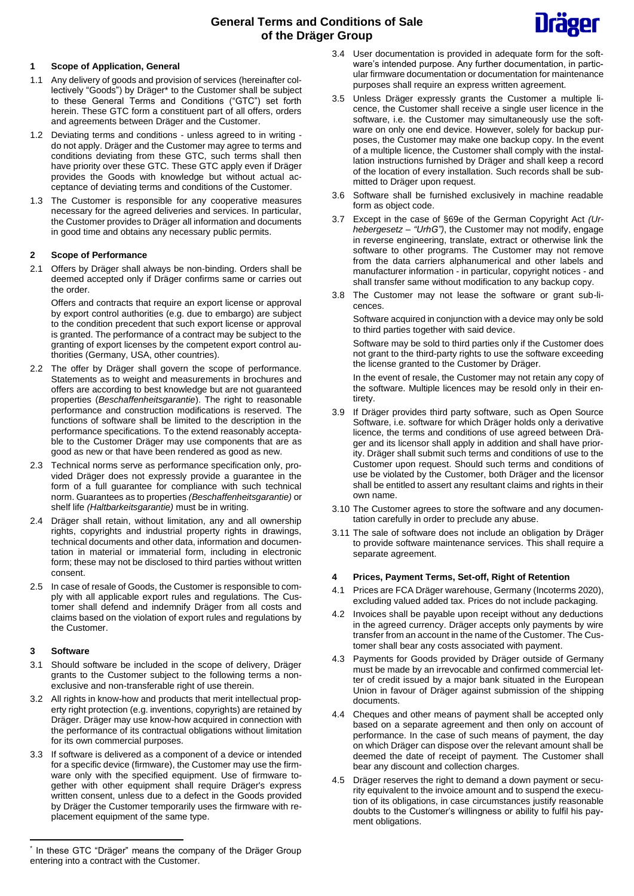# **General Terms and Conditions of Sale of the Dräger Group**



# **1 Scope of Application, General**

- 1.1 Any delivery of goods and provision of services (hereinafter collectively "Goods") by Dräger\* to the Customer shall be subject to these General Terms and Conditions ("GTC") set forth herein. These GTC form a constituent part of all offers, orders and agreements between Dräger and the Customer.
- 1.2 Deviating terms and conditions unless agreed to in writing do not apply. Dräger and the Customer may agree to terms and conditions deviating from these GTC, such terms shall then have priority over these GTC. These GTC apply even if Dräger provides the Goods with knowledge but without actual acceptance of deviating terms and conditions of the Customer.
- 1.3 The Customer is responsible for any cooperative measures necessary for the agreed deliveries and services. In particular, the Customer provides to Dräger all information and documents in good time and obtains any necessary public permits.

# **2 Scope of Performance**

2.1 Offers by Dräger shall always be non-binding. Orders shall be deemed accepted only if Dräger confirms same or carries out the order.

Offers and contracts that require an export license or approval by export control authorities (e.g. due to embargo) are subject to the condition precedent that such export license or approval is granted. The performance of a contract may be subject to the granting of export licenses by the competent export control authorities (Germany, USA, other countries).

- 2.2 The offer by Dräger shall govern the scope of performance. Statements as to weight and measurements in brochures and offers are according to best knowledge but are not guaranteed properties (*Beschaffenheitsgarantie*). The right to reasonable performance and construction modifications is reserved. The functions of software shall be limited to the description in the performance specifications. To the extend reasonably acceptable to the Customer Dräger may use components that are as good as new or that have been rendered as good as new.
- 2.3 Technical norms serve as performance specification only, provided Dräger does not expressly provide a guarantee in the form of a full guarantee for compliance with such technical norm. Guarantees as to properties *(Beschaffenheitsgarantie)* or shelf life *(Haltbarkeitsgarantie)* must be in writing.
- 2.4 Dräger shall retain, without limitation, any and all ownership rights, copyrights and industrial property rights in drawings, technical documents and other data, information and documentation in material or immaterial form, including in electronic form; these may not be disclosed to third parties without written consent.
- 2.5 In case of resale of Goods, the Customer is responsible to comply with all applicable export rules and regulations. The Customer shall defend and indemnify Dräger from all costs and claims based on the violation of export rules and regulations by the Customer.

# **3 Software**

- 3.1 Should software be included in the scope of delivery, Dräger grants to the Customer subject to the following terms a nonexclusive and non-transferable right of use therein.
- 3.2 All rights in know-how and products that merit intellectual property right protection (e.g. inventions, copyrights) are retained by Dräger. Dräger may use know-how acquired in connection with the performance of its contractual obligations without limitation for its own commercial purposes.
- 3.3 If software is delivered as a component of a device or intended for a specific device (firmware), the Customer may use the firmware only with the specified equipment. Use of firmware together with other equipment shall require Dräger's express written consent, unless due to a defect in the Goods provided by Dräger the Customer temporarily uses the firmware with replacement equipment of the same type.
- 3.4 User documentation is provided in adequate form for the software's intended purpose. Any further documentation, in particular firmware documentation or documentation for maintenance purposes shall require an express written agreement.
- 3.5 Unless Dräger expressly grants the Customer a multiple licence, the Customer shall receive a single user licence in the software, i.e. the Customer may simultaneously use the software on only one end device. However, solely for backup purposes, the Customer may make one backup copy. In the event of a multiple licence, the Customer shall comply with the installation instructions furnished by Dräger and shall keep a record of the location of every installation. Such records shall be submitted to Dräger upon request.
- 3.6 Software shall be furnished exclusively in machine readable form as object code.
- 3.7 Except in the case of §69e of the German Copyright Act *(Urhebergesetz – "UrhG")*, the Customer may not modify, engage in reverse engineering, translate, extract or otherwise link the software to other programs. The Customer may not remove from the data carriers alphanumerical and other labels and manufacturer information - in particular, copyright notices - and shall transfer same without modification to any backup copy.
- 3.8 The Customer may not lease the software or grant sub-licences.

Software acquired in conjunction with a device may only be sold to third parties together with said device.

Software may be sold to third parties only if the Customer does not grant to the third-party rights to use the software exceeding the license granted to the Customer by Dräger.

In the event of resale, the Customer may not retain any copy of the software. Multiple licences may be resold only in their entirety.

- 3.9 If Dräger provides third party software, such as Open Source Software, i.e. software for which Dräger holds only a derivative licence, the terms and conditions of use agreed between Dräger and its licensor shall apply in addition and shall have priority. Dräger shall submit such terms and conditions of use to the Customer upon request. Should such terms and conditions of use be violated by the Customer, both Dräger and the licensor shall be entitled to assert any resultant claims and rights in their own name.
- 3.10 The Customer agrees to store the software and any documentation carefully in order to preclude any abuse.
- 3.11 The sale of software does not include an obligation by Dräger to provide software maintenance services. This shall require a separate agreement.

# **4 Prices, Payment Terms, Set-off, Right of Retention**

- 4.1 Prices are FCA Dräger warehouse, Germany (Incoterms 2020), excluding valued added tax. Prices do not include packaging.
- 4.2 Invoices shall be payable upon receipt without any deductions in the agreed currency. Dräger accepts only payments by wire transfer from an account in the name of the Customer. The Customer shall bear any costs associated with payment.
- 4.3 Payments for Goods provided by Dräger outside of Germany must be made by an irrevocable and confirmed commercial letter of credit issued by a major bank situated in the European Union in favour of Dräger against submission of the shipping documents.
- 4.4 Cheques and other means of payment shall be accepted only based on a separate agreement and then only on account of performance. In the case of such means of payment, the day on which Dräger can dispose over the relevant amount shall be deemed the date of receipt of payment. The Customer shall bear any discount and collection charges.
- 4.5 Dräger reserves the right to demand a down payment or security equivalent to the invoice amount and to suspend the execution of its obligations, in case circumstances justify reasonable doubts to the Customer's willingness or ability to fulfil his payment obligations.

<sup>\*</sup> In these GTC "Dräger" means the company of the Dräger Group entering into a contract with the Customer.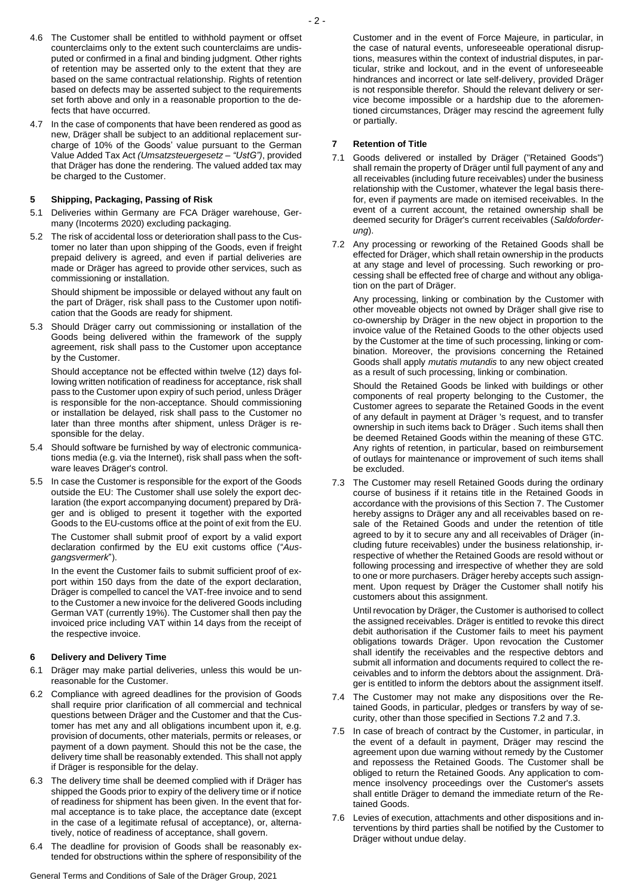- 4.6 The Customer shall be entitled to withhold payment or offset counterclaims only to the extent such counterclaims are undisputed or confirmed in a final and binding judgment. Other rights of retention may be asserted only to the extent that they are based on the same contractual relationship. Rights of retention based on defects may be asserted subject to the requirements set forth above and only in a reasonable proportion to the defects that have occurred.
- 4.7 In the case of components that have been rendered as good as new, Dräger shall be subject to an additional replacement surcharge of 10% of the Goods' value pursuant to the German Value Added Tax Act *(Umsatzsteuergesetz – "UstG")*, provided that Dräger has done the rendering. The valued added tax may be charged to the Customer.

## **5 Shipping, Packaging, Passing of Risk**

- 5.1 Deliveries within Germany are FCA Dräger warehouse, Germany (Incoterms 2020) excluding packaging.
- 5.2 The risk of accidental loss or deterioration shall pass to the Customer no later than upon shipping of the Goods, even if freight prepaid delivery is agreed, and even if partial deliveries are made or Dräger has agreed to provide other services, such as commissioning or installation.

Should shipment be impossible or delayed without any fault on the part of Dräger, risk shall pass to the Customer upon notification that the Goods are ready for shipment.

5.3 Should Dräger carry out commissioning or installation of the Goods being delivered within the framework of the supply agreement, risk shall pass to the Customer upon acceptance by the Customer.

Should acceptance not be effected within twelve (12) days following written notification of readiness for acceptance, risk shall pass to the Customer upon expiry of such period, unless Dräger is responsible for the non-acceptance. Should commissioning or installation be delayed, risk shall pass to the Customer no later than three months after shipment, unless Dräger is responsible for the delay.

- 5.4 Should software be furnished by way of electronic communications media (e.g. via the Internet), risk shall pass when the software leaves Dräger's control.
- 5.5 In case the Customer is responsible for the export of the Goods outside the EU: The Customer shall use solely the export declaration (the export accompanying document) prepared by Dräger and is obliged to present it together with the exported Goods to the EU-customs office at the point of exit from the EU.

The Customer shall submit proof of export by a valid export declaration confirmed by the EU exit customs office ("*Ausgangsvermerk*").

In the event the Customer fails to submit sufficient proof of export within 150 days from the date of the export declaration, Dräger is compelled to cancel the VAT-free invoice and to send to the Customer a new invoice for the delivered Goods including German VAT (currently 19%). The Customer shall then pay the invoiced price including VAT within 14 days from the receipt of the respective invoice.

# **6 Delivery and Delivery Time**

- 6.1 Dräger may make partial deliveries, unless this would be unreasonable for the Customer.
- 6.2 Compliance with agreed deadlines for the provision of Goods shall require prior clarification of all commercial and technical questions between Dräger and the Customer and that the Customer has met any and all obligations incumbent upon it, e.g. provision of documents, other materials, permits or releases, or payment of a down payment. Should this not be the case, the delivery time shall be reasonably extended. This shall not apply if Dräger is responsible for the delay.
- 6.3 The delivery time shall be deemed complied with if Dräger has shipped the Goods prior to expiry of the delivery time or if notice of readiness for shipment has been given. In the event that formal acceptance is to take place, the acceptance date (except in the case of a legitimate refusal of acceptance), or, alternatively, notice of readiness of acceptance, shall govern.
- 6.4 The deadline for provision of Goods shall be reasonably extended for obstructions within the sphere of responsibility of the

General Terms and Conditions of Sale of the Dräger Group, 2021

Customer and in the event of Force Majeure*,* in particular, in the case of natural events, unforeseeable operational disruptions, measures within the context of industrial disputes, in particular, strike and lockout, and in the event of unforeseeable hindrances and incorrect or late self-delivery, provided Dräger is not responsible therefor. Should the relevant delivery or service become impossible or a hardship due to the aforementioned circumstances, Dräger may rescind the agreement fully or partially.

#### **7 Retention of Title**

- 7.1 Goods delivered or installed by Dräger ("Retained Goods") shall remain the property of Dräger until full payment of any and all receivables (including future receivables) under the business relationship with the Customer, whatever the legal basis therefor, even if payments are made on itemised receivables. In the event of a current account, the retained ownership shall be deemed security for Dräger's current receivables (*Saldoforderung*).
- 7.2 Any processing or reworking of the Retained Goods shall be effected for Dräger, which shall retain ownership in the products at any stage and level of processing. Such reworking or processing shall be effected free of charge and without any obligation on the part of Dräger.

Any processing, linking or combination by the Customer with other moveable objects not owned by Dräger shall give rise to co-ownership by Dräger in the new object in proportion to the invoice value of the Retained Goods to the other objects used by the Customer at the time of such processing, linking or combination. Moreover, the provisions concerning the Retained Goods shall apply *mutatis mutandis* to any new object created as a result of such processing, linking or combination.

Should the Retained Goods be linked with buildings or other components of real property belonging to the Customer, the Customer agrees to separate the Retained Goods in the event of any default in payment at Dräger 's request, and to transfer ownership in such items back to Dräger . Such items shall then be deemed Retained Goods within the meaning of these GTC. Any rights of retention, in particular, based on reimbursement of outlays for maintenance or improvement of such items shall be excluded.

7.3 The Customer may resell Retained Goods during the ordinary course of business if it retains title in the Retained Goods in accordance with the provisions of this Section 7. The Customer hereby assigns to Dräger any and all receivables based on resale of the Retained Goods and under the retention of title agreed to by it to secure any and all receivables of Dräger (including future receivables) under the business relationship, irrespective of whether the Retained Goods are resold without or following processing and irrespective of whether they are sold to one or more purchasers. Dräger hereby accepts such assignment. Upon request by Dräger the Customer shall notify his customers about this assignment.

Until revocation by Dräger, the Customer is authorised to collect the assigned receivables. Dräger is entitled to revoke this direct debit authorisation if the Customer fails to meet his payment obligations towards Dräger. Upon revocation the Customer shall identify the receivables and the respective debtors and submit all information and documents required to collect the receivables and to inform the debtors about the assignment. Dräger is entitled to inform the debtors about the assignment itself.

- 7.4 The Customer may not make any dispositions over the Retained Goods, in particular, pledges or transfers by way of security, other than those specified in Sections 7.2 and 7.3.
- 7.5 In case of breach of contract by the Customer, in particular, in the event of a default in payment, Dräger may rescind the agreement upon due warning without remedy by the Customer and repossess the Retained Goods. The Customer shall be obliged to return the Retained Goods. Any application to commence insolvency proceedings over the Customer's assets shall entitle Dräger to demand the immediate return of the Retained Goods.
- 7.6 Levies of execution, attachments and other dispositions and interventions by third parties shall be notified by the Customer to Dräger without undue delay.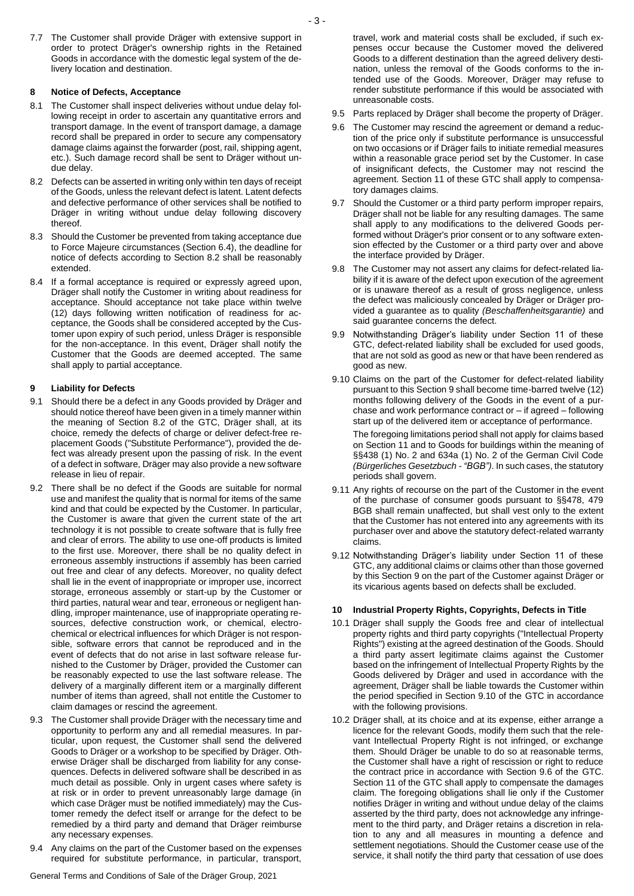7.7 The Customer shall provide Dräger with extensive support in order to protect Dräger's ownership rights in the Retained Goods in accordance with the domestic legal system of the delivery location and destination.

## **8 Notice of Defects, Acceptance**

- 8.1 The Customer shall inspect deliveries without undue delay following receipt in order to ascertain any quantitative errors and transport damage. In the event of transport damage, a damage record shall be prepared in order to secure any compensatory damage claims against the forwarder (post, rail, shipping agent, etc.). Such damage record shall be sent to Dräger without undue delay.
- 8.2 Defects can be asserted in writing only within ten days of receipt of the Goods, unless the relevant defect is latent. Latent defects and defective performance of other services shall be notified to Dräger in writing without undue delay following discovery thereof.
- 8.3 Should the Customer be prevented from taking acceptance due to Force Majeure circumstances (Section 6.4), the deadline for notice of defects according to Section 8.2 shall be reasonably extended.
- 8.4 If a formal acceptance is required or expressly agreed upon, Dräger shall notify the Customer in writing about readiness for acceptance. Should acceptance not take place within twelve (12) days following written notification of readiness for acceptance, the Goods shall be considered accepted by the Customer upon expiry of such period, unless Dräger is responsible for the non-acceptance. In this event, Dräger shall notify the Customer that the Goods are deemed accepted. The same shall apply to partial acceptance.

# **9 Liability for Defects**

- 9.1 Should there be a defect in any Goods provided by Dräger and should notice thereof have been given in a timely manner within the meaning of Section 8.2 of the GTC, Dräger shall, at its choice, remedy the defects of charge or deliver defect-free replacement Goods ("Substitute Performance"), provided the defect was already present upon the passing of risk. In the event of a defect in software, Dräger may also provide a new software release in lieu of repair.
- 9.2 There shall be no defect if the Goods are suitable for normal use and manifest the quality that is normal for items of the same kind and that could be expected by the Customer. In particular, the Customer is aware that given the current state of the art technology it is not possible to create software that is fully free and clear of errors. The ability to use one-off products is limited to the first use. Moreover, there shall be no quality defect in erroneous assembly instructions if assembly has been carried out free and clear of any defects. Moreover, no quality defect shall lie in the event of inappropriate or improper use, incorrect storage, erroneous assembly or start-up by the Customer or third parties, natural wear and tear, erroneous or negligent handling, improper maintenance, use of inappropriate operating resources, defective construction work, or chemical, electrochemical or electrical influences for which Dräger is not responsible, software errors that cannot be reproduced and in the event of defects that do not arise in last software release furnished to the Customer by Dräger, provided the Customer can be reasonably expected to use the last software release. The delivery of a marginally different item or a marginally different number of items than agreed, shall not entitle the Customer to claim damages or rescind the agreement.
- 9.3 The Customer shall provide Dräger with the necessary time and opportunity to perform any and all remedial measures. In particular, upon request, the Customer shall send the delivered Goods to Dräger or a workshop to be specified by Dräger. Otherwise Dräger shall be discharged from liability for any consequences. Defects in delivered software shall be described in as much detail as possible. Only in urgent cases where safety is at risk or in order to prevent unreasonably large damage (in which case Dräger must be notified immediately) may the Customer remedy the defect itself or arrange for the defect to be remedied by a third party and demand that Dräger reimburse any necessary expenses.
- 9.4 Any claims on the part of the Customer based on the expenses required for substitute performance, in particular, transport,

General Terms and Conditions of Sale of the Dräger Group, 2021

travel, work and material costs shall be excluded, if such expenses occur because the Customer moved the delivered Goods to a different destination than the agreed delivery destination, unless the removal of the Goods conforms to the intended use of the Goods. Moreover, Dräger may refuse to render substitute performance if this would be associated with unreasonable costs.

- 9.5 Parts replaced by Dräger shall become the property of Dräger.
- 9.6 The Customer may rescind the agreement or demand a reduction of the price only if substitute performance is unsuccessful on two occasions or if Dräger fails to initiate remedial measures within a reasonable grace period set by the Customer. In case of insignificant defects, the Customer may not rescind the agreement. Section 11 of these GTC shall apply to compensatory damages claims.
- 9.7 Should the Customer or a third party perform improper repairs, Dräger shall not be liable for any resulting damages. The same shall apply to any modifications to the delivered Goods performed without Dräger's prior consent or to any software extension effected by the Customer or a third party over and above the interface provided by Dräger.
- 9.8 The Customer may not assert any claims for defect-related liability if it is aware of the defect upon execution of the agreement or is unaware thereof as a result of gross negligence, unless the defect was maliciously concealed by Dräger or Dräger provided a guarantee as to quality *(Beschaffenheitsgarantie)* and said guarantee concerns the defect.
- 9.9 Notwithstanding Dräger's liability under Section 11 of these GTC, defect-related liability shall be excluded for used goods, that are not sold as good as new or that have been rendered as good as new.
- 9.10 Claims on the part of the Customer for defect-related liability pursuant to this Section 9 shall become time-barred twelve (12) months following delivery of the Goods in the event of a purchase and work performance contract or – if agreed – following start up of the delivered item or acceptance of performance.

The foregoing limitations period shall not apply for claims based on Section 11 and to Goods for buildings within the meaning of §§438 (1) No. 2 and 634a (1) No. 2 of the German Civil Code *(Bürgerliches Gesetzbuch - "BGB")*. In such cases, the statutory periods shall govern.

- 9.11 Any rights of recourse on the part of the Customer in the event of the purchase of consumer goods pursuant to §§478, 479 BGB shall remain unaffected, but shall vest only to the extent that the Customer has not entered into any agreements with its purchaser over and above the statutory defect-related warranty claims.
- 9.12 Notwithstanding Dräger's liability under Section 11 of these GTC, any additional claims or claims other than those governed by this Section 9 on the part of the Customer against Dräger or its vicarious agents based on defects shall be excluded.

## **10 Industrial Property Rights, Copyrights, Defects in Title**

- 10.1 Dräger shall supply the Goods free and clear of intellectual property rights and third party copyrights ("Intellectual Property Rights") existing at the agreed destination of the Goods. Should a third party assert legitimate claims against the Customer based on the infringement of Intellectual Property Rights by the Goods delivered by Dräger and used in accordance with the agreement, Dräger shall be liable towards the Customer within the period specified in Section 9.10 of the GTC in accordance with the following provisions.
- 10.2 Dräger shall, at its choice and at its expense, either arrange a licence for the relevant Goods, modify them such that the relevant Intellectual Property Right is not infringed, or exchange them. Should Dräger be unable to do so at reasonable terms, the Customer shall have a right of rescission or right to reduce the contract price in accordance with Section 9.6 of the GTC. Section 11 of the GTC shall apply to compensate the damages claim. The foregoing obligations shall lie only if the Customer notifies Dräger in writing and without undue delay of the claims asserted by the third party, does not acknowledge any infringement to the third party, and Dräger retains a discretion in relation to any and all measures in mounting a defence and settlement negotiations. Should the Customer cease use of the service, it shall notify the third party that cessation of use does